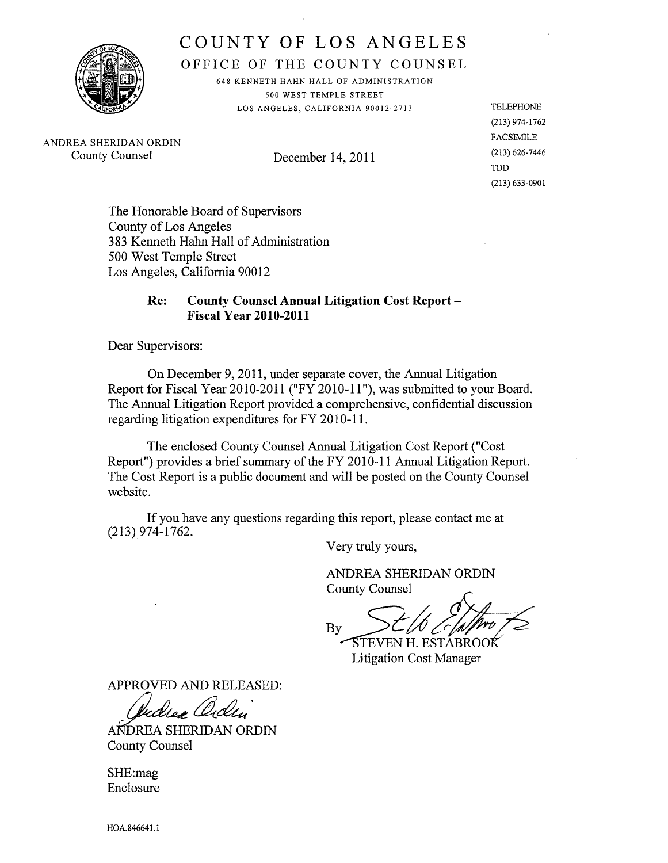

COUNTY OF LOS ANGELES COUNTY OF LOS ANGELES

OFFICE OF THE COUNTY COUNSEL OFFICE OF THE COUNTY COUNSEL

648 KENNETH HAHN HALL OF ADMINISTRATION 648 KENNETH HAHN HALL OF ADMINISTRATION 500 WEST TEMPLE STREET 500 WEST TEMPLE STREET LOS ANGELES, CALIFORNIA 90012-2713 LOS ANGELES, CALIFORNIA 90012-2713

ANDREA SHERIDAN ORDIN ANDREA SHERIDAN ORDIN County Counsel December 14, 2011 County Counsel December 14, 2011

TELEPHONE TELEPHONE (213) 974-1762 (213) 974-1762 FACSIMILE FACSIMILE (213) 626-7446 (213) 626-7446 TDD TDD(213) 633-0901 (213) 633-0901

The Honorable Board of Supervisors The Honorable Board of Supervisors County of Los Angeles County of Los Angeles 383 Kenneth Hahn Hall of Administration 500 West Temple Street 500 West Temple Street Los Angeles, California 90012 Los Angeles, California 90012

# Re: County Counsel Annual Litigation Cost Report -Fiscal Year 2010-2011 Fiscal Year 2010-2011

Dear Supervisors: Dear Supervisors:

On December 9,2011, under separate cover, the Annual Litigation On December 9,2011, under separate cover, the Anual Litigation Report for Fiscal Year 2010-2011 ("FY 2010-11 "), was submitted to your Board. Report for Fiscal Year 2010-2011 ("FY 2010-11 "), was submitted to your Board. The Annual Litigation Report provided a comprehensive, confidential discussion The Annual Litigation Report provided a comprehensive, confidential discussion regarding litigation expenditures for FY 2010-11. regarding litigation expenditures for FY 2010-11.

The enclosed County Counsel Annual Litigation Cost Report ("Cost The enclosed County Counsel Anual Litigation Cost Report ("Cost Report") provides a brief summary of the FY 2010-11 Annual Litigation Report. The Cost Report is a public document and will be posted on the County Counsel website. website.

If you have any questions regarding this report, please contact me at If you have any questions regarding this report, please contact me at (213)974-1762. (213)974-1762.

Very truly yours, Very truly yours,

ANDREA SHERIDAN ORDIN Very truly yours,<br>ANDREA SHERIDAN ORDIN<br>County Counsel ANDREA SHERIDAN ORDIN County Counsel

*2*  $2/h$  ) that  $6$ By *L-j/O, r:*  $By$  STEVEN H. ESTABROOK

Litigation Cost Manager Litigation Cost Manager

APPROVED AND RELEASED: APPROVED AND RELEASED:

PROVED AND RELEASED:<br>*Quediex Ordin* 

ANDREA SHERIDAN ORDIN County Counsel County Counsel

SHE:mag SHE:mag Enclosure Enclosure

HOA.846641.1 HOA.846641.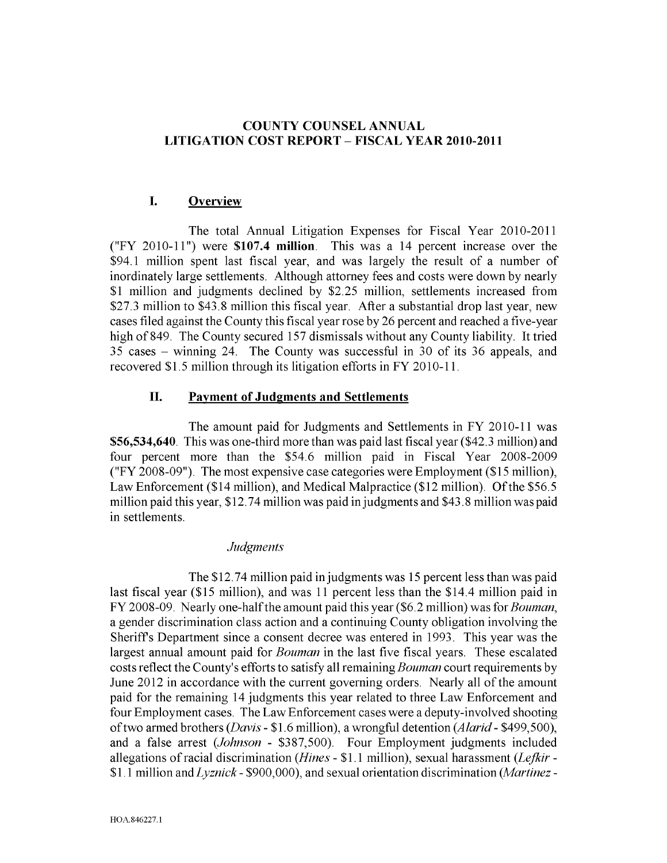### **COUNTY COUNSEL ANNUAL LITIGATION COST REPORT - FISCAL YEAR 2010-2011**

## **I. Overview**

The total Annual Litigation Expenses for Fiscal Year 2010-2011 ("FY 2010-11 ") were **\$107.4 million.** This was a 14 percent increase over the \$94.1 million spent last fiscal year, and was largely the result of a number of inordinately large settlements. Although attorney fees and costs were down by nearly \$1 million and judgments declined by \$2.25 million, settlements increased from \$27.3 million to \$43.8 million this fiscal year. After a substantial drop last year, new cases filed against the County this fiscal year rose by 26 percent and reached a five-year high of849. The County secured 157 dismissals without any County liability. It tried 35 cases - winning 24. The County was successful in 30 of its 36 appeals, and recovered \$1.5 million through its litigation efforts in FY 2010-11.

#### **II. Payment of Judgments and Settlements**

The amount paid for Judgments and Settlements in FY 2010-11 was \$56,534,640. This was one-third more than was paid last fiscal year (\$42.3 million) and four percent more than the \$54.6 million paid in Fiscal Year 2008-2009 ("FY 2008-09"). The most expensive case categories were Employment (\$15 million), Law Enforcement (\$14 million), and Medical Malpractice (\$12 million). Of the \$56.5 million paid this year, \$12.74 million was paid in judgments and \$43.8 million was paid in settlements.

#### *Judgments*

The \$12.74 million paid in judgments was 15 percent less than was paid last fiscal year (\$15 million), and was 11 percent less than the \$14.4 million paid in FY 2008-09. Nearly one-half the amount paid this year (\$6.2 million) was for *Bouman,* a gender discrimination class action and a continuing County obligation involving the Sheriffs Department since a consent decree was entered in 1993. This year was the largest annual amount paid for *Bouman* in the last five fiscal years. These escalated costs reflect the County's efforts to satisfy all remaining *Bouman* court requirements by June 2012 in accordance with the current governing orders. Nearly all of the amount paid for the remaining 14 judgments this year related to three Law Enforcement and four Employment cases. The Law Enforcement cases were a deputy-involved shooting of two armed brothers *(Davis -* \$1.6 million), a wrongful detention *(Alarid -* \$499,500), and a false arrest *(Johnson -* \$387,500). Four Employment judgments included allegations of racial discrimination *(Hines -* \$1.1 million), sexual harassment *(Lefkir -* \$1.1 million and *Lyznick -* \$900,000), and sexual orientation discrimination *(Martinez-*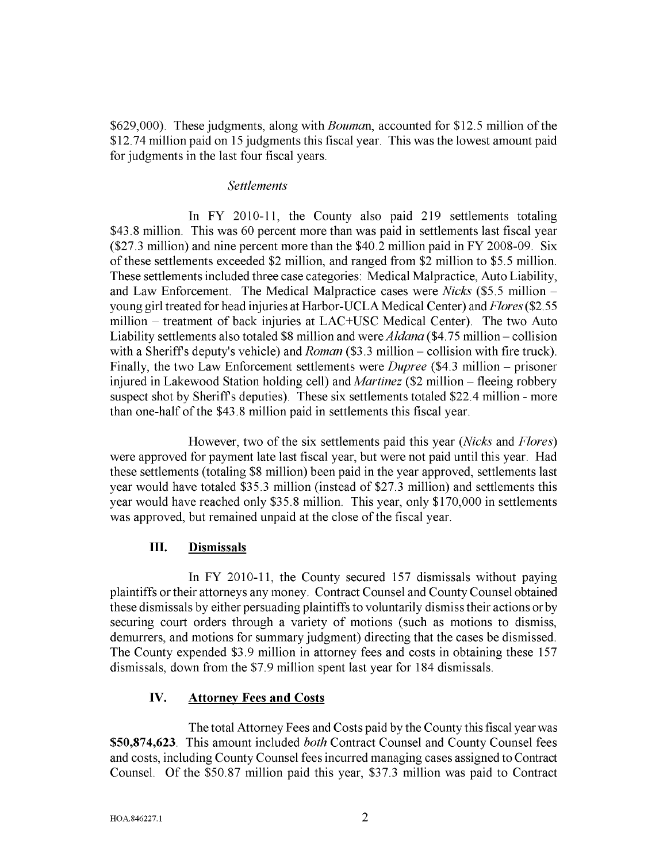\$629,000). These judgments, along with *Bouman,* accounted for \$12.5 million of the \$12.74 million paid on 15 judgments this fiscal year. This was the lowest amount paid for judgments in the last four fiscal years.

#### *Settlements*

In FY 2010-11, the County also paid 219 settlements totaling \$43.8 million. This was 60 percent more than was paid in settlements last fiscal year (\$27.3 million) and nine percent more than the \$40.2 million paid in FY 2008-09. Six of these settlements exceeded \$2 million, and ranged from \$2 million to \$5.5 million. These settlements included three case categories: Medical Malpractice, Auto Liability, and Law Enforcement. The Medical Malpractice cases were *Nicks* (\$5.5 million young girl treated for head injuries at Harbor-UCLA Medical Center) and *Flores (\$2.55* million - treatment of back injuries at LAC+USC Medical Center). The two Auto Liability settlements also totaled \$8 million and were *Aldana* (\$4.75 million - collision with a Sheriff's deputy's vehicle) and *Roman* (\$3.3 million – collision with fire truck). Finally, the two Law Enforcement settlements were *Dupree* (\$4.3 million – prisoner injured in Lakewood Station holding cell) and *Martinez* (\$2 million – fleeing robbery suspect shot by Sheriffs deputies). These six settlements totaled \$22.4 million - more than one-half of the \$43.8 million paid in settlements this fiscal year.

However, two of the six settlements paid this year *(Nicks* and *Flores)* were approved for payment late last fiscal year, but were not paid until this year. Had these settlements (totaling \$8 million) been paid in the year approved, settlements last year would have totaled \$35.3 million (instead of \$27.3 million) and settlements this year would have reached only \$35.8 million. This year, only \$170,000 in settlements was approved, but remained unpaid at the close of the fiscal year.

#### **III.** Dismissals

In FY 2010-11, the County secured 157 dismissals without paying plaintiffs or their attorneys any money. Contract Counsel and County Counsel obtained these dismissals by either persuading plaintiffs to voluntarily dismiss their actions or by securing court orders through a variety of motions (such as motions to dismiss, demurrers, and motions for summary judgment) directing that the cases be dismissed. The County expended \$3.9 million in attorney fees and costs in obtaining these 157 dismissals, down from the \$7.9 million spent last year for 184 dismissals.

#### **IV.** Attorney Fees **and** Costs

The total Attorney Fees and Costs paid by the County this fiscal year was \$50,874,623. This amount included *both* Contract Counsel and County Counsel fees and costs, including County Counsel fees incurred managing cases assigned to Contract Counsel. Of the \$50.87 million paid this year, \$37.3 million was paid to Contract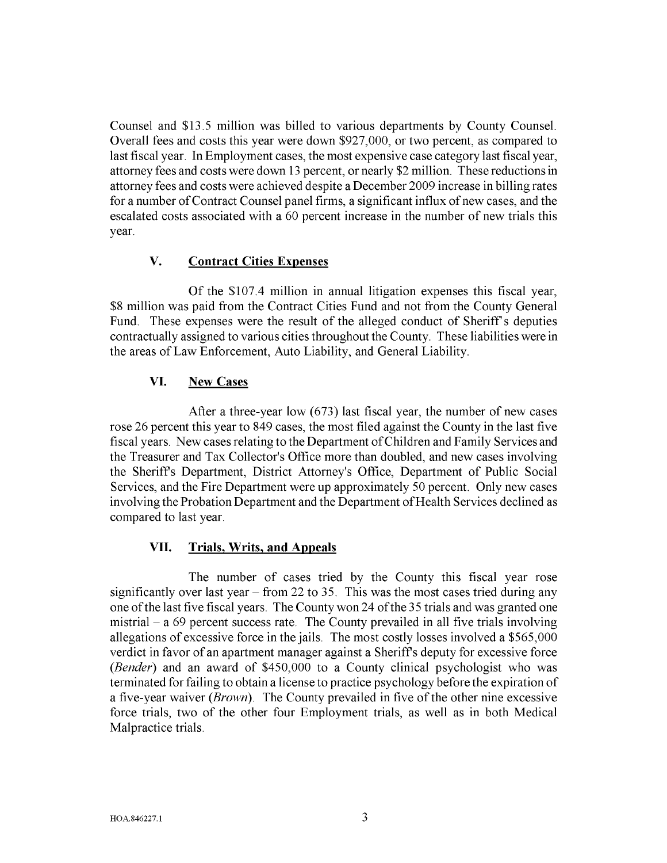Counsel and \$13.5 million was billed to various departments by County Counsel. Overall fees and costs this year were down \$927,000, or two percent, as compared to last fiscal year. **In** Employment cases, the most expensive case category last fiscal year, attorney fees and costs were down 13 percent, or nearly \$2 million. These reductions in attorney fees and costs were achieved despite a December 2009 increase in billing rates for a number of Contract Counsel panel firms, a significant influx of new cases, and the escalated costs associated with a 60 percent increase in the number of new trials this year.

### **V. Contract Cities Expenses**

Of the \$107.4 million in annual litigation expenses this fiscal year, \$8 million was paid from the Contract Cities Fund and not from the County General Fund. These expenses were the result of the alleged conduct of Sheriff's deputies contractually assigned to various cities throughout the County. These liabilities were in the areas of Law Enforcement, Auto Liability, and General Liability.

### **VI. New Cases**

After a three-year low (673) last fiscal year, the number of new cases rose 26 percent this year to 849 cases, the most filed against the County in the last five fiscal years. New cases relating to the Department of Children and Family Services and the Treasurer and Tax Collector's Office more than doubled, and new cases involving the Sheriffs Department, District Attorney's Office, Department of Public Social Services, and the Fire Department were up approximately 50 percent. Only new cases involving the Probation Department and the Department of Health Services declined as compared to last year.

# **VII. Trials, Writs, and Appeals**

The number of cases tried by the County this fiscal year rose significantly over last year  $-$  from 22 to 35. This was the most cases tried during any one of the last five fiscal years. The County won 24 of the 35 trials and was granted one mistrial  $-$  a 69 percent success rate. The County prevailed in all five trials involving allegations of excessive force in the jails. The most costly losses involved a \$565,000 verdict in favor of an apartment manager against a Sheriffs deputy for excessive force *(Bender)* and an award of \$450,000 to a County clinical psychologist who was terminated for failing to obtain a license to practice psychology before the expiration of a five-year waiver *(Brown).* The County prevailed in five of the other nine excessive force trials, two of the other four Employment trials, as well as in both Medical Malpractice trials.